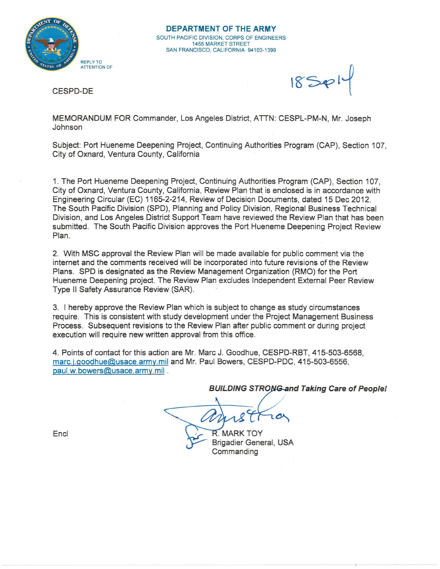

 $18S$ 

CESPD-DE

MEMORANDUM FOR Commander, Los Angeles District, ATTN: CESPL-PM-N, Mr. Joseph Johnson

Subject: Port Hueneme Deepening Project, Continuing Authorities Program (CAP), Section 107, City of Oxnard, Ventura County, California

1. The Port Hueneme Deepening Project, Continuing Authorities Program (CAP), Section 107, City of Oxnard, Ventura County, California, Review Plan that is enclosed is in accordance with Engineering Circular (EC) 1165-2-214, Review of Decision Documents, dated 15 Dec 2012. The South Pacific Division (SPD), Planning and Policy Division, Regional Business Technical Division, and Los Angeles District Support Team have reviewed the Review Plan that has been submitted. The South Pacific Division approves the Port Hueneme Deepening Project Review Plan.

2. With MSC approval the Review Plan will be made available for public comment via the internet and the comments received will be incorporated into future revisions of the Review Plans. SPD is designated as the Review Management Organization (RMO) for the Port Hueneme Deepening project. The Review Plan excludes Independent External Peer Review Type II Safety Assurance Review (SAR).

3. I hereby approve the Review Plan which is subject to change as study circumstances require. This is consistent with study development under the Project Management Business Process. Subsequent revisions to the Review Plan after public comment or during project execution will require new written approval from this office.

4. Points of contact for this action are Mr. Marc J. Goodhue, CESPD-RBT, 415-503-6568, marc.j.goodhue@usace.army.mil and Mr. Paul Bowers, CESPD-PDC, 415-503-6556, paul.w.bowers@usace.army.mil .

**BUILDING STRONG and Taking Care of People!** 

**R. MARK TOY** Brigadier General, USA

**Commanding** 

Encl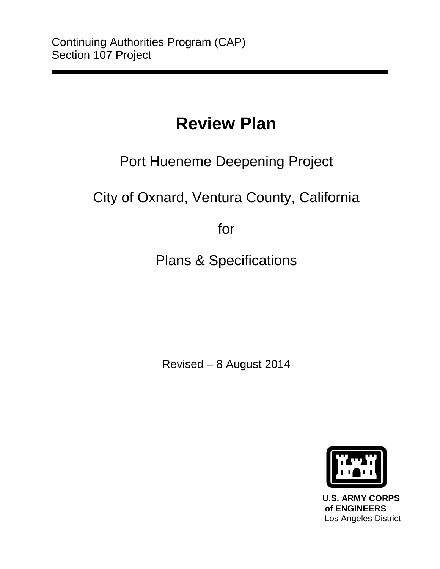# **Review Plan**

## Port Hueneme Deepening Project

City of Oxnard, Ventura County, California

for

Plans & Specifications

Revised – 8 August 2014



 **U.S. ARMY CORPS of ENGINEERS** Los Angeles District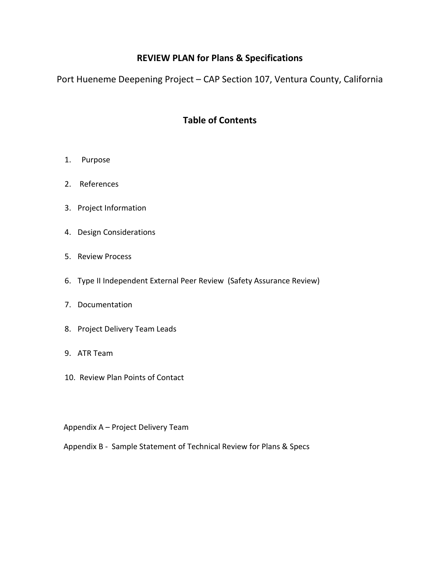## **REVIEW PLAN for Plans & Specifications**

Port Hueneme Deepening Project – CAP Section 107, Ventura County, California

## **Table of Contents**

- 1. Purpose
- 2. References
- 3. Project Information
- 4. Design Considerations
- 5. Review Process
- 6. Type II Independent External Peer Review (Safety Assurance Review)
- 7. Documentation
- 8. Project Delivery Team Leads
- 9. ATR Team
- 10. Review Plan Points of Contact
- Appendix A Project Delivery Team
- Appendix B Sample Statement of Technical Review for Plans & Specs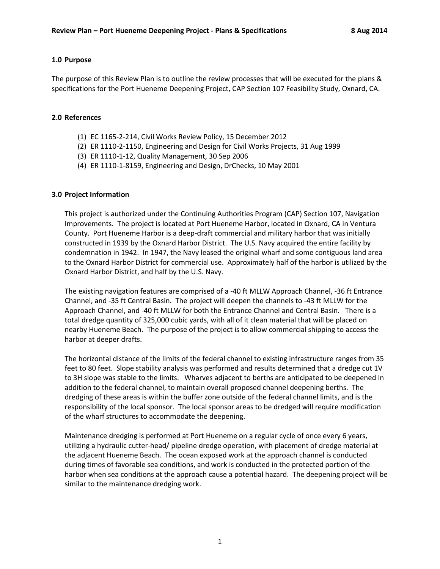#### **1.0 Purpose**

The purpose of this Review Plan is to outline the review processes that will be executed for the plans & specifications for the Port Hueneme Deepening Project, CAP Section 107 Feasibility Study, Oxnard, CA.

#### **2.0 References**

- (1) EC 1165-2-214, Civil Works Review Policy, 15 December 2012
- (2) ER 1110-2-1150, Engineering and Design for Civil Works Projects, 31 Aug 1999
- (3) ER 1110-1-12, Quality Management, 30 Sep 2006
- (4) ER 1110-1-8159, Engineering and Design, DrChecks, 10 May 2001

#### **3.0 Project Information**

This project is authorized under the Continuing Authorities Program (CAP) Section 107, Navigation Improvements. The project is located at Port Hueneme Harbor, located in Oxnard, CA in Ventura County. Port Hueneme Harbor is a deep-draft commercial and military harbor that was initially constructed in 1939 by the Oxnard Harbor District. The U.S. Navy acquired the entire facility by condemnation in 1942. In 1947, the Navy leased the original wharf and some contiguous land area to the Oxnard Harbor District for commercial use. Approximately half of the harbor is utilized by the Oxnard Harbor District, and half by the U.S. Navy.

The existing navigation features are comprised of a -40 ft MLLW Approach Channel, -36 ft Entrance Channel, and -35 ft Central Basin. The project will deepen the channels to -43 ft MLLW for the Approach Channel, and -40 ft MLLW for both the Entrance Channel and Central Basin. There is a total dredge quantity of 325,000 cubic yards, with all of it clean material that will be placed on nearby Hueneme Beach. The purpose of the project is to allow commercial shipping to access the harbor at deeper drafts.

The horizontal distance of the limits of the federal channel to existing infrastructure ranges from 35 feet to 80 feet. Slope stability analysis was performed and results determined that a dredge cut 1V to 3H slope was stable to the limits. Wharves adjacent to berths are anticipated to be deepened in addition to the federal channel, to maintain overall proposed channel deepening berths. The dredging of these areas is within the buffer zone outside of the federal channel limits, and is the responsibility of the local sponsor. The local sponsor areas to be dredged will require modification of the wharf structures to accommodate the deepening.

Maintenance dredging is performed at Port Hueneme on a regular cycle of once every 6 years, utilizing a hydraulic cutter-head/ pipeline dredge operation, with placement of dredge material at the adjacent Hueneme Beach. The ocean exposed work at the approach channel is conducted during times of favorable sea conditions, and work is conducted in the protected portion of the harbor when sea conditions at the approach cause a potential hazard. The deepening project will be similar to the maintenance dredging work.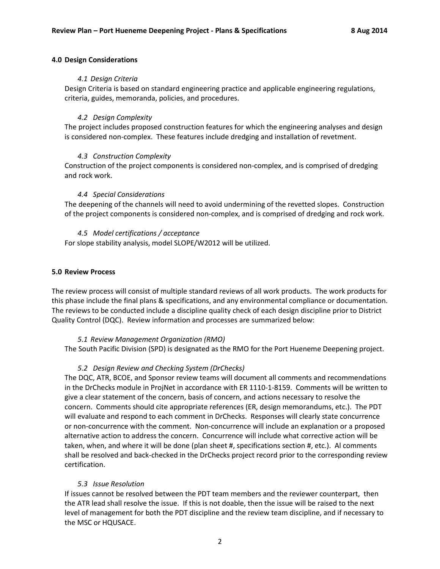#### **4.0 Design Considerations**

#### *4.1 Design Criteria*

Design Criteria is based on standard engineering practice and applicable engineering regulations, criteria, guides, memoranda, policies, and procedures.

#### *4.2 Design Complexity*

The project includes proposed construction features for which the engineering analyses and design is considered non-complex. These features include dredging and installation of revetment.

#### *4.3 Construction Complexity*

Construction of the project components is considered non-complex, and is comprised of dredging and rock work.

#### *4.4 Special Considerations*

The deepening of the channels will need to avoid undermining of the revetted slopes. Construction of the project components is considered non-complex, and is comprised of dredging and rock work.

#### *4.5 Model certifications / acceptance*

For slope stability analysis, model SLOPE/W2012 will be utilized.

#### **5.0 Review Process**

The review process will consist of multiple standard reviews of all work products. The work products for this phase include the final plans & specifications, and any environmental compliance or documentation. The reviews to be conducted include a discipline quality check of each design discipline prior to District Quality Control (DQC). Review information and processes are summarized below:

#### *5.1 Review Management Organization (RMO)*

The South Pacific Division (SPD) is designated as the RMO for the Port Hueneme Deepening project.

#### *5.2 Design Review and Checking System (DrChecks)*

The DQC, ATR, BCOE, and Sponsor review teams will document all comments and recommendations in the DrChecks module in ProjNet in accordance with ER 1110-1-8159. Comments will be written to give a clear statement of the concern, basis of concern, and actions necessary to resolve the concern. Comments should cite appropriate references (ER, design memorandums, etc.). The PDT will evaluate and respond to each comment in DrChecks. Responses will clearly state concurrence or non-concurrence with the comment. Non-concurrence will include an explanation or a proposed alternative action to address the concern. Concurrence will include what corrective action will be taken, when, and where it will be done (plan sheet #, specifications section #, etc.). Al comments shall be resolved and back-checked in the DrChecks project record prior to the corresponding review certification.

#### *5.3 Issue Resolution*

If issues cannot be resolved between the PDT team members and the reviewer counterpart, then the ATR lead shall resolve the issue. If this is not doable, then the issue will be raised to the next level of management for both the PDT discipline and the review team discipline, and if necessary to the MSC or HQUSACE.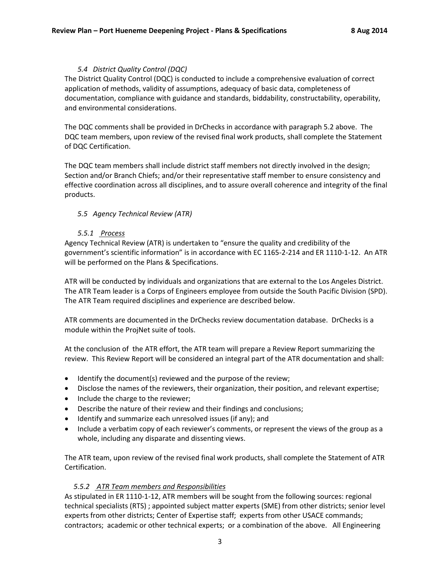#### *5.4 District Quality Control (DQC)*

The District Quality Control (DQC) is conducted to include a comprehensive evaluation of correct application of methods, validity of assumptions, adequacy of basic data, completeness of documentation, compliance with guidance and standards, biddability, constructability, operability, and environmental considerations.

The DQC comments shall be provided in DrChecks in accordance with paragraph 5.2 above. The DQC team members, upon review of the revised final work products, shall complete the Statement of DQC Certification.

The DQC team members shall include district staff members not directly involved in the design; Section and/or Branch Chiefs; and/or their representative staff member to ensure consistency and effective coordination across all disciplines, and to assure overall coherence and integrity of the final products.

#### *5.5 Agency Technical Review (ATR)*

#### *5.5.1 Process*

Agency Technical Review (ATR) is undertaken to "ensure the quality and credibility of the government's scientific information" is in accordance with EC 1165-2-214 and ER 1110-1-12. An ATR will be performed on the Plans & Specifications.

ATR will be conducted by individuals and organizations that are external to the Los Angeles District. The ATR Team leader is a Corps of Engineers employee from outside the South Pacific Division (SPD). The ATR Team required disciplines and experience are described below.

ATR comments are documented in the DrChecks review documentation database. DrChecks is a module within the ProjNet suite of tools.

At the conclusion of the ATR effort, the ATR team will prepare a Review Report summarizing the review. This Review Report will be considered an integral part of the ATR documentation and shall:

- Identify the document(s) reviewed and the purpose of the review;
- Disclose the names of the reviewers, their organization, their position, and relevant expertise;
- Include the charge to the reviewer;
- Describe the nature of their review and their findings and conclusions;
- Identify and summarize each unresolved issues (if any); and
- Include a verbatim copy of each reviewer's comments, or represent the views of the group as a whole, including any disparate and dissenting views.

The ATR team, upon review of the revised final work products, shall complete the Statement of ATR Certification.

#### *5.5.2 ATR Team members and Responsibilities*

As stipulated in ER 1110-1-12, ATR members will be sought from the following sources: regional technical specialists (RTS) ; appointed subject matter experts (SME) from other districts; senior level experts from other districts; Center of Expertise staff; experts from other USACE commands; contractors; academic or other technical experts; or a combination of the above. All Engineering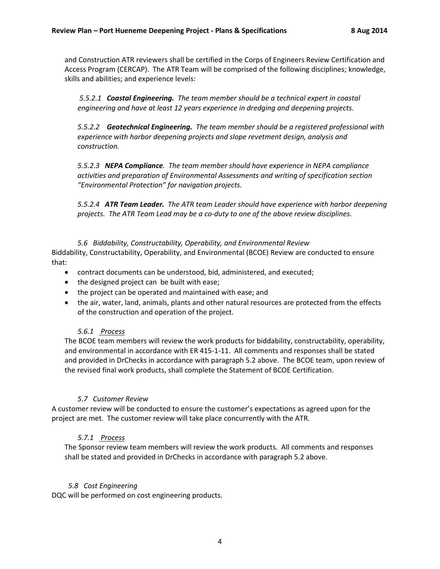and Construction ATR reviewers shall be certified in the Corps of Engineers Review Certification and Access Program (CERCAP). The ATR Team will be comprised of the following disciplines; knowledge, skills and abilities; and experience levels:

*5.5.2.1 Coastal Engineering. The team member should be a technical expert in coastal engineering and have at least 12 years experience in dredging and deepening projects.* 

*5.5.2.2 Geotechnical Engineering. The team member should be a registered professional with experience with harbor deepening projects and slope revetment design, analysis and construction.*

*5.5.2.3 NEPA Compliance. The team member should have experience in NEPA compliance activities and preparation of Environmental Assessments and writing of specification section "Environmental Protection" for navigation projects.* 

*5.5.2.4 ATR Team Leader. The ATR team Leader should have experience with harbor deepening projects. The ATR Team Lead may be a co-duty to one of the above review disciplines.* 

*5.6 Biddability, Constructability, Operability, and Environmental Review* Biddability, Constructability, Operability, and Environmental (BCOE) Review are conducted to ensure that:

- contract documents can be understood, bid, administered, and executed;
- the designed project can be built with ease;
- the project can be operated and maintained with ease; and
- the air, water, land, animals, plants and other natural resources are protected from the effects of the construction and operation of the project.

#### *5.6.1 Process*

The BCOE team members will review the work products for biddability, constructability, operability, and environmental in accordance with ER 415-1-11. All comments and responses shall be stated and provided in DrChecks in accordance with paragraph 5.2 above. The BCOE team, upon review of the revised final work products, shall complete the Statement of BCOE Certification.

#### *5.7 Customer Review*

A customer review will be conducted to ensure the customer's expectations as agreed upon for the project are met. The customer review will take place concurrently with the ATR.

#### *5.7.1 Process*

The Sponsor review team members will review the work products. All comments and responses shall be stated and provided in DrChecks in accordance with paragraph 5.2 above.

#### *5.8 Cost Engineering*

DQC will be performed on cost engineering products.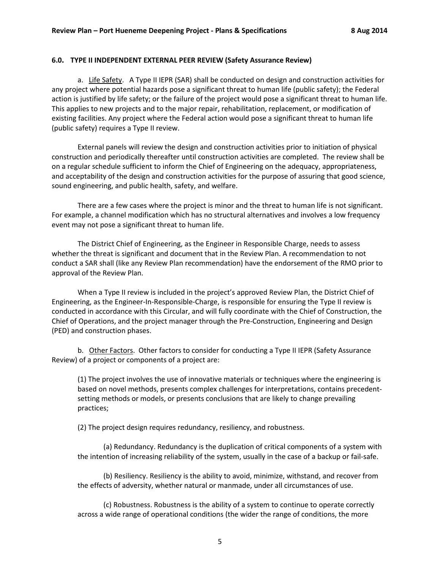#### **6.0. TYPE II INDEPENDENT EXTERNAL PEER REVIEW (Safety Assurance Review)**

a. Life Safety. A Type II IEPR (SAR) shall be conducted on design and construction activities for any project where potential hazards pose a significant threat to human life (public safety); the Federal action is justified by life safety; or the failure of the project would pose a significant threat to human life. This applies to new projects and to the major repair, rehabilitation, replacement, or modification of existing facilities. Any project where the Federal action would pose a significant threat to human life (public safety) requires a Type II review.

External panels will review the design and construction activities prior to initiation of physical construction and periodically thereafter until construction activities are completed. The review shall be on a regular schedule sufficient to inform the Chief of Engineering on the adequacy, appropriateness, and acceptability of the design and construction activities for the purpose of assuring that good science, sound engineering, and public health, safety, and welfare.

There are a few cases where the project is minor and the threat to human life is not significant. For example, a channel modification which has no structural alternatives and involves a low frequency event may not pose a significant threat to human life.

The District Chief of Engineering, as the Engineer in Responsible Charge, needs to assess whether the threat is significant and document that in the Review Plan. A recommendation to not conduct a SAR shall (like any Review Plan recommendation) have the endorsement of the RMO prior to approval of the Review Plan.

When a Type II review is included in the project's approved Review Plan, the District Chief of Engineering, as the Engineer-In-Responsible-Charge, is responsible for ensuring the Type II review is conducted in accordance with this Circular, and will fully coordinate with the Chief of Construction, the Chief of Operations, and the project manager through the Pre-Construction, Engineering and Design (PED) and construction phases.

b. Other Factors. Other factors to consider for conducting a Type II IEPR (Safety Assurance Review) of a project or components of a project are:

(1) The project involves the use of innovative materials or techniques where the engineering is based on novel methods, presents complex challenges for interpretations, contains precedentsetting methods or models, or presents conclusions that are likely to change prevailing practices;

(2) The project design requires redundancy, resiliency, and robustness.

(a) Redundancy. Redundancy is the duplication of critical components of a system with the intention of increasing reliability of the system, usually in the case of a backup or fail-safe.

(b) Resiliency. Resiliency is the ability to avoid, minimize, withstand, and recover from the effects of adversity, whether natural or manmade, under all circumstances of use.

(c) Robustness. Robustness is the ability of a system to continue to operate correctly across a wide range of operational conditions (the wider the range of conditions, the more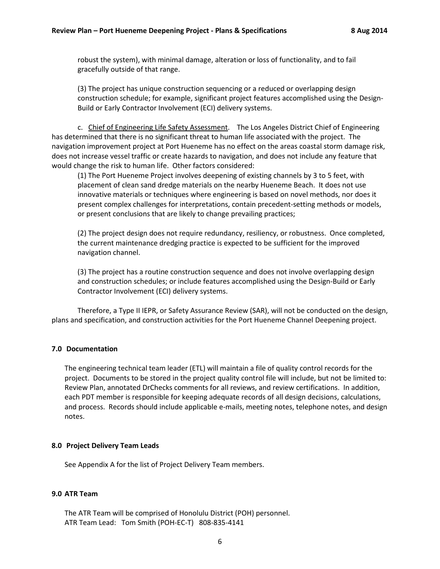robust the system), with minimal damage, alteration or loss of functionality, and to fail gracefully outside of that range.

(3) The project has unique construction sequencing or a reduced or overlapping design construction schedule; for example, significant project features accomplished using the Design-Build or Early Contractor Involvement (ECI) delivery systems.

c. Chief of Engineering Life Safety Assessment. The Los Angeles District Chief of Engineering has determined that there is no significant threat to human life associated with the project. The navigation improvement project at Port Hueneme has no effect on the areas coastal storm damage risk, does not increase vessel traffic or create hazards to navigation, and does not include any feature that would change the risk to human life. Other factors considered:

(1) The Port Hueneme Project involves deepening of existing channels by 3 to 5 feet, with placement of clean sand dredge materials on the nearby Hueneme Beach. It does not use innovative materials or techniques where engineering is based on novel methods, nor does it present complex challenges for interpretations, contain precedent-setting methods or models, or present conclusions that are likely to change prevailing practices;

(2) The project design does not require redundancy, resiliency, or robustness. Once completed, the current maintenance dredging practice is expected to be sufficient for the improved navigation channel.

(3) The project has a routine construction sequence and does not involve overlapping design and construction schedules; or include features accomplished using the Design-Build or Early Contractor Involvement (ECI) delivery systems.

Therefore, a Type II IEPR, or Safety Assurance Review (SAR), will not be conducted on the design, plans and specification, and construction activities for the Port Hueneme Channel Deepening project.

#### **7.0 Documentation**

The engineering technical team leader (ETL) will maintain a file of quality control records for the project. Documents to be stored in the project quality control file will include, but not be limited to: Review Plan, annotated DrChecks comments for all reviews, and review certifications. In addition, each PDT member is responsible for keeping adequate records of all design decisions, calculations, and process. Records should include applicable e-mails, meeting notes, telephone notes, and design notes.

#### **8.0 Project Delivery Team Leads**

See Appendix A for the list of Project Delivery Team members.

#### **9.0 ATR Team**

The ATR Team will be comprised of Honolulu District (POH) personnel. ATR Team Lead: Tom Smith (POH-EC-T) 808-835-4141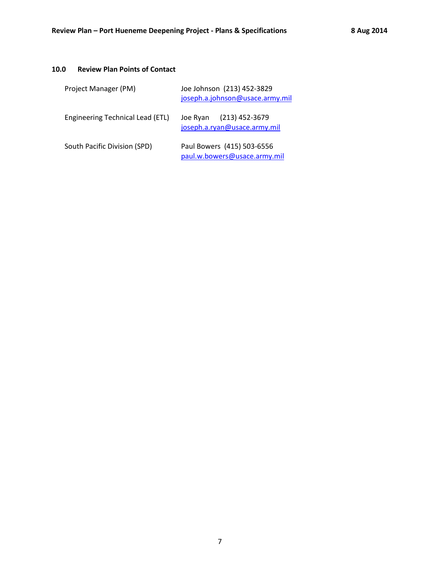### **10.0 Review Plan Points of Contact**

| Project Manager (PM)             | Joe Johnson (213) 452-3829<br>joseph.a.johnson@usace.army.mil |
|----------------------------------|---------------------------------------------------------------|
| Engineering Technical Lead (ETL) | Joe Ryan (213) 452-3679<br>joseph.a.ryan@usace.army.mil       |
| South Pacific Division (SPD)     | Paul Bowers (415) 503-6556<br>paul.w.bowers@usace.army.mil    |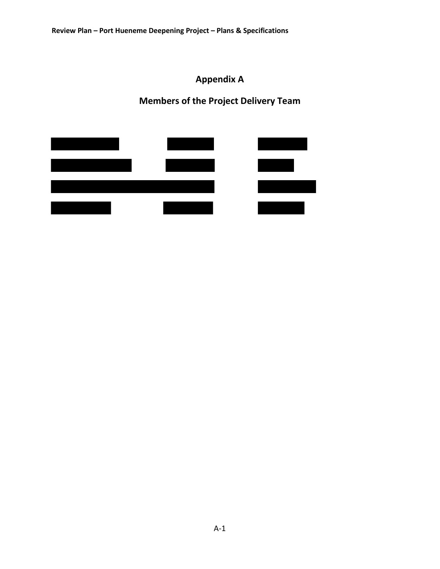**Appendix A**

**Members of the Project Delivery Team**